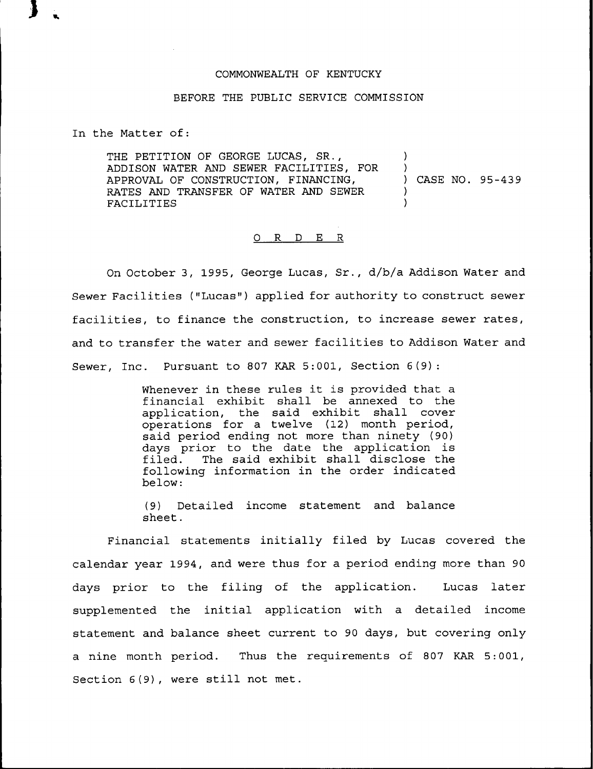## COMMONWEALTH OF KENTUCKY

## BEFORE THE PUBLIC SERVICE COMMISSION

In the Matter of:

THE PETITION OF GEORGE LUCAS, SR., ADDISON WATER AND SEWER FACILITIES, FOR APPROVAL OF CONSTRUCTION, FINANCING, RATES AND TRANSFER OF WATER AND SEWER FACILITIES ) ) ) CASE NO. 95-439  $\lambda$ )

## 0 R <sup>D</sup> E R

On October 3, 1995, George Lucas, Sr., d/b/a Addison Water and Sewer Facilities ("Lucas") applied for authority to construct sewer facilities, to finance the construction, to increase sewer rates, and to transfer the water and sewer facilities to Addison Water and Sewer, Inc. Pursuant to 807 KAR 5:001, Section 6(9):

> Whenever in these rules it is provided that <sup>a</sup> financial exhibit shall be annexed to the application, the said exhibit shall cover operations for a twelve (12) month period, said period ending not more than ninety (90) days prior to the date the application is<br>filed. The said exhibit shall disclose the The said exhibit shall disclose the following information in the order indicated below:

> (9) Detailed income statement and balance sheet.

Financial statements initially filed by Lucas covered the calendar year 1994, and were thus for a period ending more than 90 days prior to the filing of the application. Lucas later supplemented the initial application with a detailed income statement and balance sheet current to 90 days, but covering only a nine month period. Thus the requirements of 807 KAR 5:001, Section 6(9), were still not met.